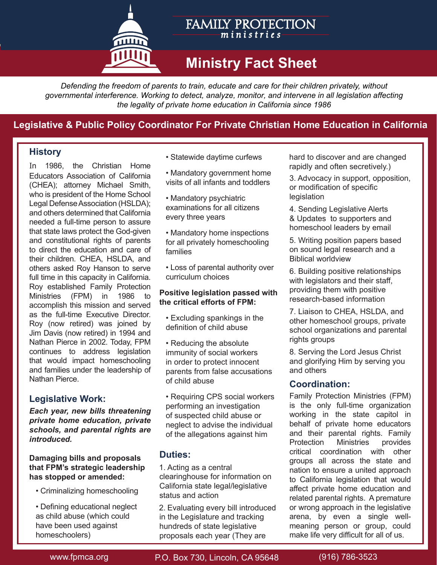

## FAMILY PROTECTION *m i n i s trie s*

# **Ministry Fact Sheet**

*Defending the freedom of parents to train, educate and care for their children privately, without governmental interference. Working to detect, analyze, monitor, and intervene in all legislation affecting the legality of private home education in California since 1986*

# **Legislative & Public Policy Coordinator For Private Christian Home Education in California**

## **History**

In 1986, the Christian Home Educators Association of California (CHEA); attorney Michael Smith, who is president of the Home School Legal Defense Association (HSLDA); and others determined that California needed a full-time person to assure that state laws protect the God-given and constitutional rights of parents to direct the education and care of their children. CHEA, HSLDA, and others asked Roy Hanson to serve full time in this capacity in California. Roy established Family Protection Ministries (FPM) in 1986 to accomplish this mission and served as the full-time Executive Director. Roy (now retired) was joined by Jim Davis (now retired) in 1994 and Nathan Pierce in 2002. Today, FPM continues to address legislation that would impact homeschooling and families under the leadership of Nathan Pierce.

## **Legislative Work:**

*Each year, new bills threatening private home education, private schools, and parental rights are introduced.* 

#### **Damaging bills and proposals that FPM's strategic leadership has stopped or amended:**

• Criminalizing homeschooling

• Defining educational neglect as child abuse (which could have been used against homeschoolers)

• Statewide daytime curfews

- Mandatory government home visits of all infants and toddlers
- Mandatory psychiatric examinations for all citizens every three years
- Mandatory home inspections for all privately homeschooling families
- Loss of parental authority over curriculum choices

#### **Positive legislation passed with the critical efforts of FPM:**

- Excluding spankings in the definition of child abuse
- Reducing the absolute immunity of social workers in order to protect innocent parents from false accusations of child abuse
- Requiring CPS social workers performing an investigation of suspected child abuse or neglect to advise the individual of the allegations against him

## **Duties:**

1. Acting as a central clearinghouse for information on California state legal/legislative status and action

2. Evaluating every bill introduced in the Legislature and tracking hundreds of state legislative proposals each year (They are

hard to discover and are changed rapidly and often secretively.)

3. Advocacy in support, opposition, or modification of specific legislation

- 4. Sending Legislative Alerts & Updates to supporters and homeschool leaders by email
- 5. Writing position papers based on sound legal research and a Biblical worldview
- 6. Building positive relationships with legislators and their staff, providing them with positive research-based information
- 7. Liaison to CHEA, HSLDA, and other homeschool groups, private school organizations and parental rights groups

8. Serving the Lord Jesus Christ and glorifying Him by serving you and others

## **Coordination:**

Family Protection Ministries (FPM) is the only full-time organization working in the state capitol in behalf of private home educators and their parental rights. Family Protection Ministries provides critical coordination with other groups all across the state and nation to ensure a united approach to California legislation that would affect private home education and related parental rights. A premature or wrong approach in the legislative arena, by even a single wellmeaning person or group, could make life very difficult for all of us.

www.fpmca.org P.O. Box 730, Lincoln, CA 95648 (916) 786-3523